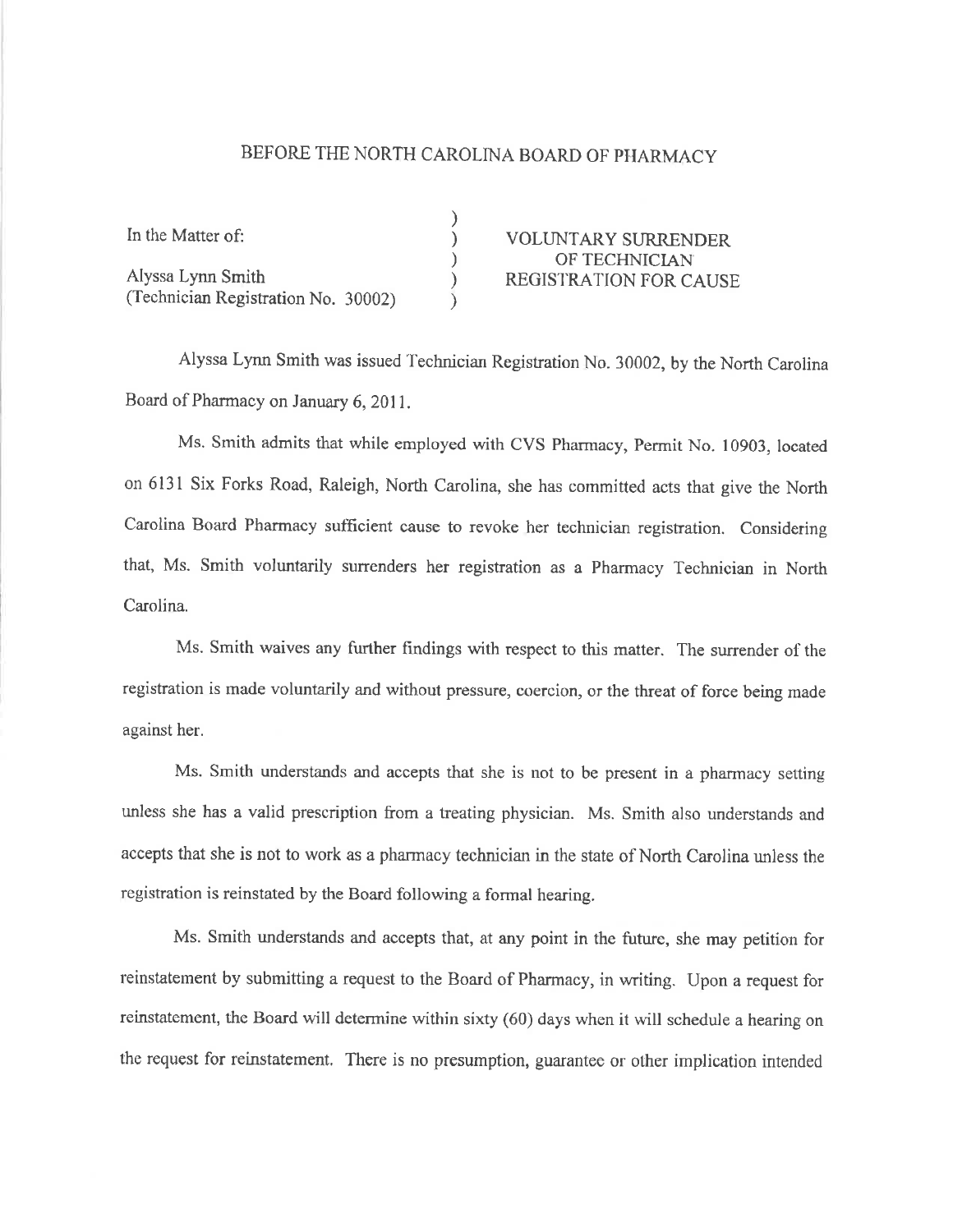## BEFORE THE NORTH CAROLINA BOARD OF PHARMACY

| In the Matter of:                   | <b>VOLUNTARY SURRENDER</b>    |
|-------------------------------------|-------------------------------|
|                                     | OF TECHNICIAN                 |
| Alyssa Lynn Smith                   | <b>REGISTRATION FOR CAUSE</b> |
| (Technician Registration No. 30002) |                               |

Alyssa Lynn Smith was issued Technician Registration No. 30002, by the North Carolina Board of Pharmacy on January 6, 2011.

Ms. Smith admits that while employed with CVS Fharmacy, Permit No. 10903, located on 613l Six Forks Road, Raleigh, North Carolina, she has committed acts that give the North Carolina Board Pharmacy sufficient cause to revoke her technician registration. Considering that, Ms. Smith voluntarily surtenders her registration as a Pharmacy Technician in North Carolina.

Ms. Smith waives any further findings with respect to this matter. The surrender of the registration is made voluntarily and without pressure, coercion, or the threat of force being made against her.

Ms. Smith understands and accepts that she is not to be present in a pharmacy setting unless she has a valid prescription from a treating physician. Ms. Smith also understands and accepts that she is not to work as a pharmacy technician in the state of North Carolina unless the registration is reinstated by the Board following a formal hearing.

Ms. Smith understands and accepts that, at any point in the future, she may petition for reinstatement by submitting a request to the Board of Pharmacy, in writing. Upon a request for reinstatement, the Board will determine within sixty (60) days when it will schedule a hearing on the request for reinstatement. There is no presumption, guarantee or other implication intended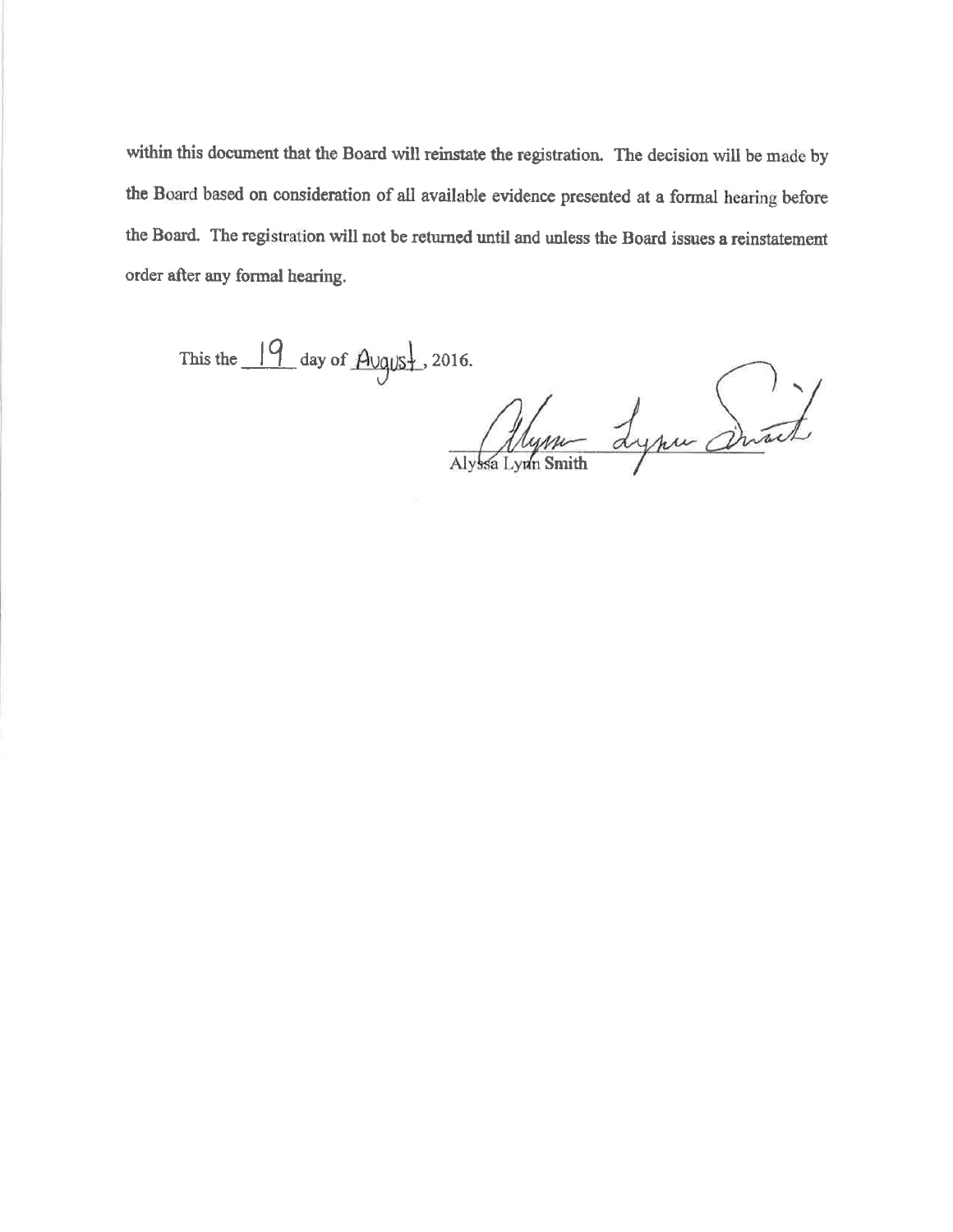within this document that the Board will reinstate the registration. The decision will be made by the Board based on consideration of all available evidence presented at a formal hearing before the Board. The registration will not be returned until and unless the Board issues a reinstatement order after any formal hearing.

This the  $\frac{19}{4}$  day of  $\frac{\text{August}}{\text{Aogus}}$ , 2016.

Alynn Lynn Durch